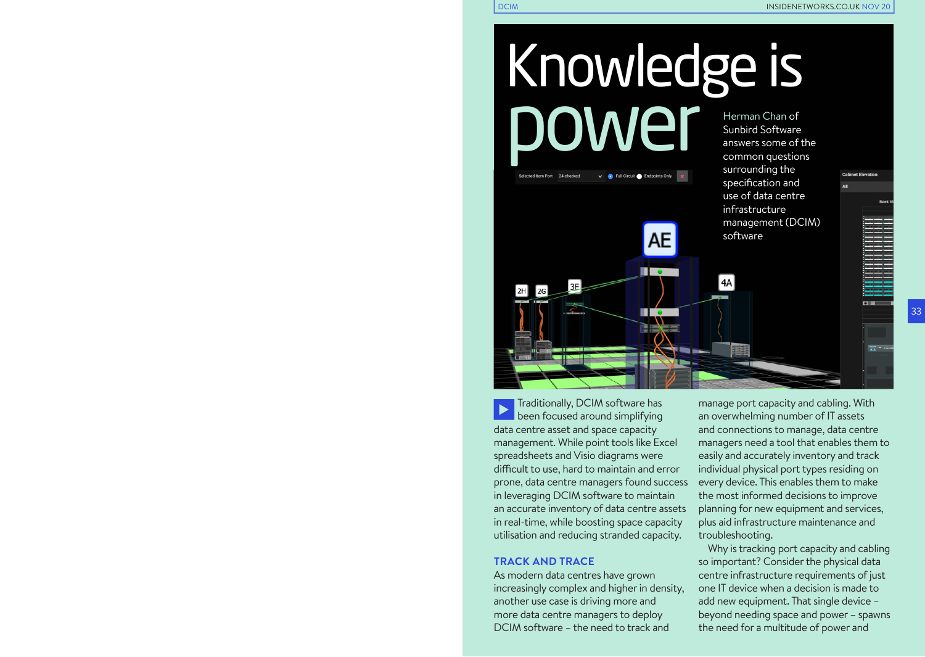Sunbird Software answers some of the common questions surrounding the specification and use of data centre infrastructure management (DCIM)

software

4A

Knowledge is power Herman Chan of

AE

πо

De Full Circuit (Canadapoints Only

Traditionally, DCIM software has been focused around simplifying data centre asset and space capacity management. While point tools like Excel spreadsheets and Visio diagrams were difficult to use, hard to maintain and error prone, data centre managers found success in leveraging DCIM software to maintain an accurate inventory of data centre assets in real-time, while boosting space capacity utilisation and reducing stranded capacity.

#### **TRACK AND TRACE**

Selected Item Port 24 checked

 $|zG|$ 

3E

As modern data centres have grown increasingly complex and higher in density, another use case is driving more and more data centre managers to deploy DCIM software – the need to track and

manage port capacity and cabling. With an overwhelming number of IT assets and connections to manage, data centre managers need a tool that enables them to easily and accurately inventory and track individual physical port types residing on every device. This enables them to make the most informed decisions to improve planning for new equipment and services, plus aid infrastructure maintenance and troubleshooting.

Why is tracking port capacity and cabling so important? Consider the physical data centre infrastructure requirements of just one IT device when a decision is made to add new equipment. That single device – beyond needing space and power – spawns the need for a multitude of power and

口波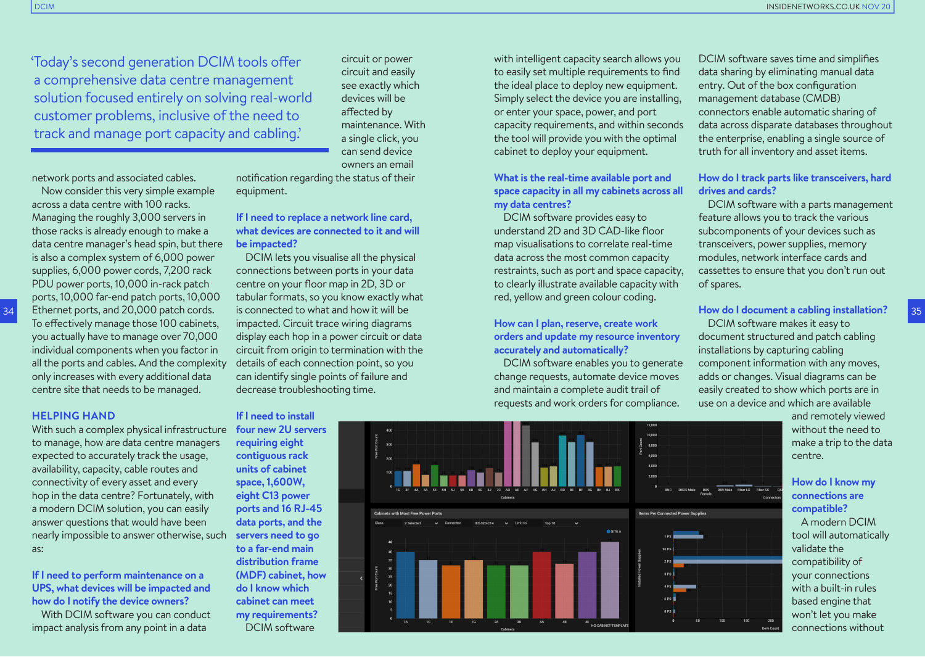'Today's second generation DCIM tools offer a comprehensive data centre management solution focused entirely on solving real-world customer problems, inclusive of the need to track and manage port capacity and cabling.'

circuit or power circuit and easily see exactly which devices will be affected by maintenance. With a single click, you can send device owners an email

network ports and associated cables.

Now consider this very simple example across a data centre with 100 racks. Managing the roughly 3,000 servers in those racks is already enough to make a data centre manager's head spin, but there is also a complex system of 6,000 power supplies, 6,000 power cords, 7,200 rack PDU power ports, 10,000 in-rack patch ports, 10,000 far-end patch ports, 10,000 Ethernet ports, and 20,000 patch cords. To effectively manage those 100 cabinets, you actually have to manage over 70,000 individual components when you factor in all the ports and cables. And the complexity only increases with every additional data centre site that needs to be managed.

#### **HELPING HAND**

34

With such a complex physical infrastructure to manage, how are data centre managers expected to accurately track the usage, availability, capacity, cable routes and connectivity of every asset and every hop in the data centre? Fortunately, with a modern DCIM solution, you can easily answer questions that would have been nearly impossible to answer otherwise, such **servers need to go**  as:

**If I need to perform maintenance on a UPS, what devices will be impacted and how do I notify the device owners?** 

With DCIM software you can conduct impact analysis from any point in a data

notification regarding the status of their equipment.

## **If I need to replace a network line card, what devices are connected to it and will be impacted?**

DCIM lets you visualise all the physical connections between ports in your data centre on your floor map in 2D, 3D or tabular formats, so you know exactly what is connected to what and how it will be impacted. Circuit trace wiring diagrams display each hop in a power circuit or data circuit from origin to termination with the details of each connection point, so you can identify single points of failure and decrease troubleshooting time.

#### **If I need to install**

**four new 2U servers requiring eight contiguous rack units of cabinet space, 1,600W, eight C13 power ports and 16 RJ-45 data ports, and the to a far-end main distribution frame (MDF) cabinet, how do I know which cabinet can meet my requirements?**  DCIM software

with intelligent capacity search allows you to easily set multiple requirements to find the ideal place to deploy new equipment. Simply select the device you are installing, or enter your space, power, and port capacity requirements, and within seconds the tool will provide you with the optimal cabinet to deploy your equipment.

## **What is the real-time available port and space capacity in all my cabinets across all my data centres?**

DCIM software provides easy to understand 2D and 3D CAD-like floor map visualisations to correlate real-time data across the most common capacity restraints, such as port and space capacity, to clearly illustrate available capacity with red, yellow and green colour coding.

# **How can I plan, reserve, create work orders and update my resource inventory accurately and automatically?**

DCIM software enables you to generate change requests, automate device moves and maintain a complete audit trail of requests and work orders for compliance.



DCIM software saves time and simplifies data sharing by eliminating manual data entry. Out of the box configuration management database (CMDB) connectors enable automatic sharing of data across disparate databases throughout the enterprise, enabling a single source of truth for all inventory and asset items.

### **How do I track parts like transceivers, hard drives and cards?**

DCIM software with a parts management feature allows you to track the various subcomponents of your devices such as transceivers, power supplies, memory modules, network interface cards and cassettes to ensure that you don't run out of spares.

## **How do I document a cabling installation?**

DCIM software makes it easy to document structured and patch cabling installations by capturing cabling component information with any moves, adds or changes. Visual diagrams can be easily created to show which ports are in use on a device and which are available

> and remotely viewed without the need to make a trip to the data centre.

## **How do I know my connections are compatible?**

A modern DCIM tool will automatically validate the compatibility of your connections with a built-in rules based engine that won't let you make connections without

35